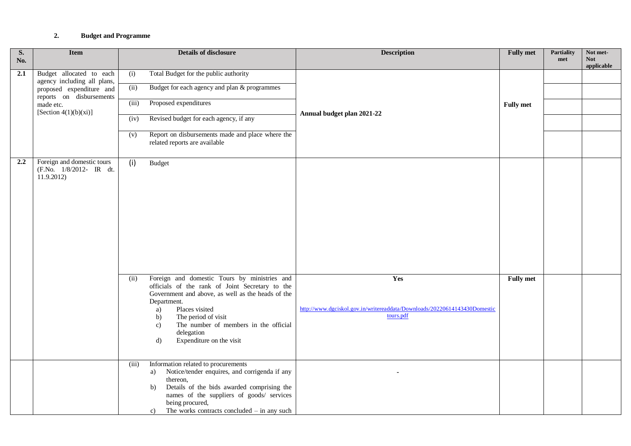## **2. Budget and Programme**

| S.<br>No. | <b>Item</b>                                                        | <b>Details of disclosure</b>                                                                                                                                                                                                                                                                                                    | <b>Description</b>                                                                            | <b>Fully met</b> | <b>Partiality</b><br>met | Not met-<br><b>Not</b><br>applicable |  |  |  |
|-----------|--------------------------------------------------------------------|---------------------------------------------------------------------------------------------------------------------------------------------------------------------------------------------------------------------------------------------------------------------------------------------------------------------------------|-----------------------------------------------------------------------------------------------|------------------|--------------------------|--------------------------------------|--|--|--|
| 2.1       | Budget allocated to each<br>agency including all plans,            | Total Budget for the public authority<br>(i)                                                                                                                                                                                                                                                                                    |                                                                                               |                  |                          |                                      |  |  |  |
|           | proposed expenditure and<br>reports on disbursements               | (ii)<br>Budget for each agency and plan & programmes                                                                                                                                                                                                                                                                            |                                                                                               |                  |                          |                                      |  |  |  |
|           | made etc.<br>[Section $4(1)(b)(xi)$ ]                              | Proposed expenditures<br>(iii)                                                                                                                                                                                                                                                                                                  |                                                                                               | <b>Fully</b> met |                          |                                      |  |  |  |
|           |                                                                    | Revised budget for each agency, if any<br>(iv)                                                                                                                                                                                                                                                                                  | Annual budget plan 2021-22                                                                    |                  |                          |                                      |  |  |  |
|           |                                                                    | Report on disbursements made and place where the<br>(v)<br>related reports are available                                                                                                                                                                                                                                        |                                                                                               |                  |                          |                                      |  |  |  |
| 2.2       | Foreign and domestic tours<br>(F.No. 1/8/2012- IR dt.<br>11.9.2012 | (i)<br><b>Budget</b>                                                                                                                                                                                                                                                                                                            |                                                                                               |                  |                          |                                      |  |  |  |
|           |                                                                    | Foreign and domestic Tours by ministries and<br>(ii)<br>officials of the rank of Joint Secretary to the<br>Government and above, as well as the heads of the<br>Department.<br>Places visited<br>a)<br>The period of visit<br>b)<br>The number of members in the official<br>c)<br>delegation<br>d)<br>Expenditure on the visit | Yes<br>http://www.dgciskol.gov.in/writereaddata/Downloads/20220614143430Domestic<br>tours.pdf | <b>Fully met</b> |                          |                                      |  |  |  |
|           |                                                                    | Information related to procurements<br>(iii)<br>Notice/tender enquires, and corrigenda if any<br>a)<br>thereon,<br>Details of the bids awarded comprising the<br>b)<br>names of the suppliers of goods/ services<br>being procured,<br>The works contracts concluded $-$ in any such<br>c)                                      |                                                                                               |                  |                          |                                      |  |  |  |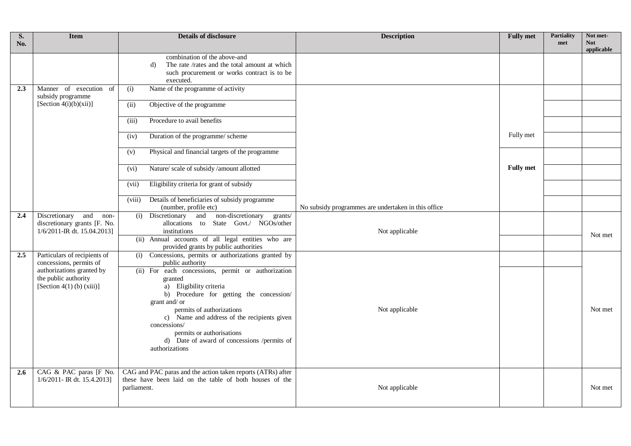| S.<br>No.     | <b>Item</b>                                                                           | <b>Details of disclosure</b>                                                                                                                                                                                                                                                                                                                    | <b>Description</b>                                  | <b>Fully met</b> | <b>Partiality</b><br>met | Not met-<br><b>Not</b><br>applicable |
|---------------|---------------------------------------------------------------------------------------|-------------------------------------------------------------------------------------------------------------------------------------------------------------------------------------------------------------------------------------------------------------------------------------------------------------------------------------------------|-----------------------------------------------------|------------------|--------------------------|--------------------------------------|
|               |                                                                                       | combination of the above-and<br>The rate /rates and the total amount at which<br>d)<br>such procurement or works contract is to be<br>executed.                                                                                                                                                                                                 |                                                     |                  |                          |                                      |
| 2.3           | Manner of execution of<br>subsidy programme                                           | Name of the programme of activity<br>(i)                                                                                                                                                                                                                                                                                                        |                                                     |                  |                          |                                      |
|               | [Section $4(i)(b)(xii)$ ]                                                             | (ii)<br>Objective of the programme                                                                                                                                                                                                                                                                                                              |                                                     |                  |                          |                                      |
|               |                                                                                       | Procedure to avail benefits<br>(iii)                                                                                                                                                                                                                                                                                                            |                                                     |                  |                          |                                      |
|               |                                                                                       | Duration of the programme/ scheme<br>(iv)                                                                                                                                                                                                                                                                                                       |                                                     | Fully met        |                          |                                      |
|               |                                                                                       | Physical and financial targets of the programme<br>(v)                                                                                                                                                                                                                                                                                          |                                                     |                  |                          |                                      |
|               |                                                                                       | Nature/ scale of subsidy/amount allotted<br>(vi)                                                                                                                                                                                                                                                                                                |                                                     | <b>Fully</b> met |                          |                                      |
|               |                                                                                       | Eligibility criteria for grant of subsidy<br>(vii)                                                                                                                                                                                                                                                                                              |                                                     |                  |                          |                                      |
|               |                                                                                       | Details of beneficiaries of subsidy programme<br>(viii)<br>(number, profile etc)                                                                                                                                                                                                                                                                | No subsidy programmes are undertaken in this office |                  |                          |                                      |
| 2.4           | Discretionary and non-<br>discretionary grants [F. No.<br>1/6/2011-IR dt. 15.04.2013] | (i) Discretionary and non-discretionary<br>grants/<br>allocations to State Govt./ NGOs/other<br>institutions                                                                                                                                                                                                                                    | Not applicable                                      |                  |                          |                                      |
|               |                                                                                       | (ii) Annual accounts of all legal entities who are<br>provided grants by public authorities                                                                                                                                                                                                                                                     |                                                     |                  |                          | Not met                              |
| 2.5           | Particulars of recipients of<br>concessions, permits of                               | Concessions, permits or authorizations granted by<br>(i)<br>public authority                                                                                                                                                                                                                                                                    |                                                     |                  |                          |                                      |
|               | authorizations granted by<br>the public authority<br>[Section 4(1) (b) $(xiii)$ ]     | (ii) For each concessions, permit or authorization<br>granted<br>a) Eligibility criteria<br>b) Procedure for getting the concession/<br>grant and/ or<br>permits of authorizations<br>c) Name and address of the recipients given<br>concessions/<br>permits or authorisations<br>d) Date of award of concessions /permits of<br>authorizations | Not applicable                                      |                  |                          | Not met                              |
| $2.6^{\circ}$ | CAG & PAC paras [F No.<br>1/6/2011- IR dt. 15.4.2013]                                 | CAG and PAC paras and the action taken reports (ATRs) after<br>these have been laid on the table of both houses of the<br>parliament.                                                                                                                                                                                                           | Not applicable                                      |                  |                          | Not met                              |